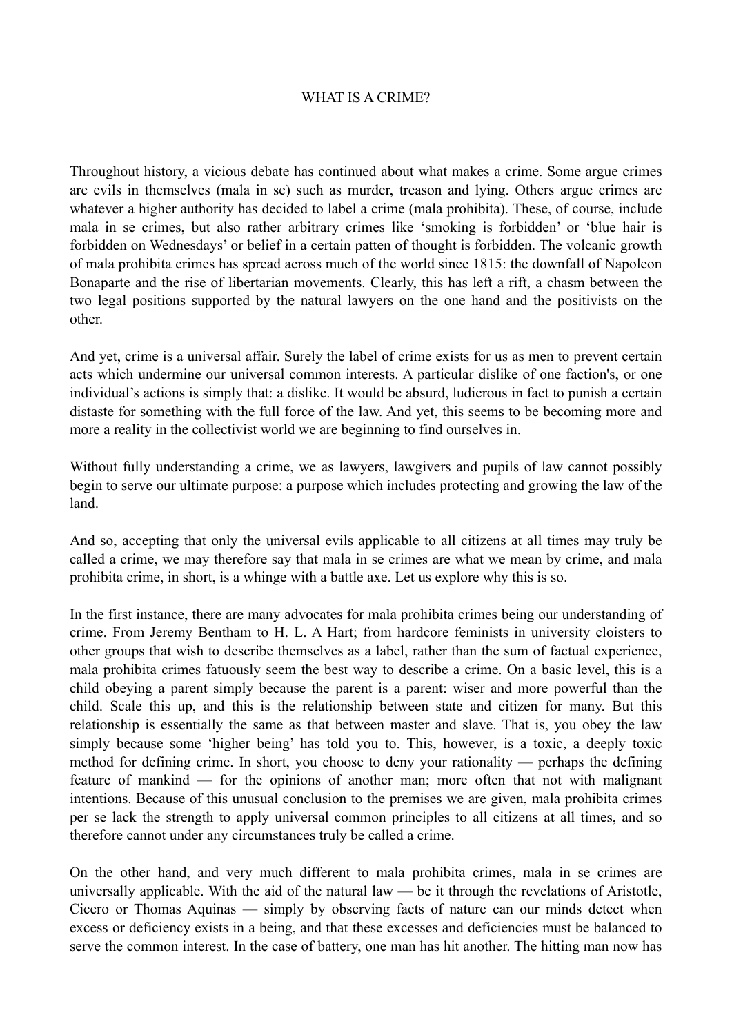## WHAT IS A CRIME?

Throughout history, a vicious debate has continued about what makes a crime. Some argue crimes are evils in themselves (mala in se) such as murder, treason and lying. Others argue crimes are whatever a higher authority has decided to label a crime (mala prohibita). These, of course, include mala in se crimes, but also rather arbitrary crimes like 'smoking is forbidden' or 'blue hair is forbidden on Wednesdays' or belief in a certain patten of thought is forbidden. The volcanic growth of mala prohibita crimes has spread across much of the world since 1815: the downfall of Napoleon Bonaparte and the rise of libertarian movements. Clearly, this has left a rift, a chasm between the two legal positions supported by the natural lawyers on the one hand and the positivists on the other.

And yet, crime is a universal affair. Surely the label of crime exists for us as men to prevent certain acts which undermine our universal common interests. A particular dislike of one faction's, or one individual's actions is simply that: a dislike. It would be absurd, ludicrous in fact to punish a certain distaste for something with the full force of the law. And yet, this seems to be becoming more and more a reality in the collectivist world we are beginning to find ourselves in.

Without fully understanding a crime, we as lawyers, lawgivers and pupils of law cannot possibly begin to serve our ultimate purpose: a purpose which includes protecting and growing the law of the land.

And so, accepting that only the universal evils applicable to all citizens at all times may truly be called a crime, we may therefore say that mala in se crimes are what we mean by crime, and mala prohibita crime, in short, is a whinge with a battle axe. Let us explore why this is so.

In the first instance, there are many advocates for mala prohibita crimes being our understanding of crime. From Jeremy Bentham to H. L. A Hart; from hardcore feminists in university cloisters to other groups that wish to describe themselves as a label, rather than the sum of factual experience, mala prohibita crimes fatuously seem the best way to describe a crime. On a basic level, this is a child obeying a parent simply because the parent is a parent: wiser and more powerful than the child. Scale this up, and this is the relationship between state and citizen for many. But this relationship is essentially the same as that between master and slave. That is, you obey the law simply because some 'higher being' has told you to. This, however, is a toxic, a deeply toxic method for defining crime. In short, you choose to deny your rationality — perhaps the defining feature of mankind — for the opinions of another man; more often that not with malignant intentions. Because of this unusual conclusion to the premises we are given, mala prohibita crimes per se lack the strength to apply universal common principles to all citizens at all times, and so therefore cannot under any circumstances truly be called a crime.

On the other hand, and very much different to mala prohibita crimes, mala in se crimes are universally applicable. With the aid of the natural law — be it through the revelations of Aristotle, Cicero or Thomas Aquinas — simply by observing facts of nature can our minds detect when excess or deficiency exists in a being, and that these excesses and deficiencies must be balanced to serve the common interest. In the case of battery, one man has hit another. The hitting man now has